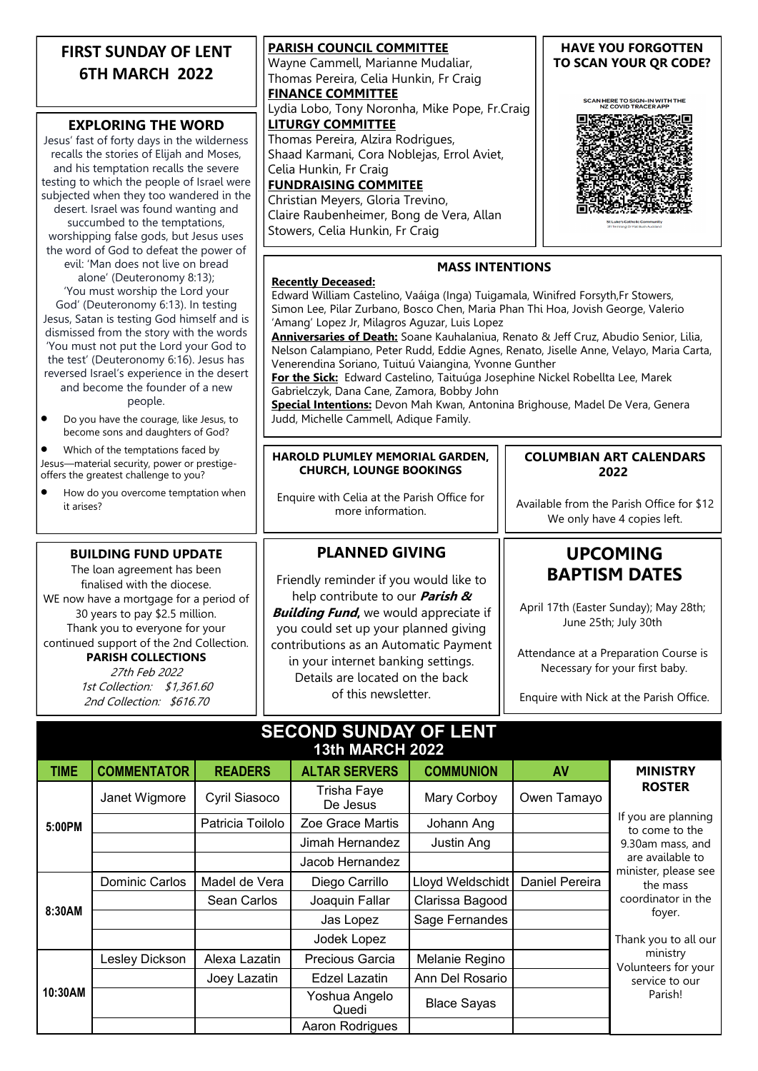| <b>FIRST SUNDAY OF LENT</b><br><b>6TH MARCH 2022</b><br><b>EXPLORING THE WORD</b>                                                                                                                                                                                                                                                                                                                                                                                                                   | <b>PARISH COUNCIL COMMITTEE</b><br>Wayne Cammell, Marianne Mudaliar,<br>Thomas Pereira, Celia Hunkin, Fr Craig<br><b>FINANCE COMMITTEE</b><br>Lydia Lobo, Tony Noronha, Mike Pope, Fr.Craig<br><b>LITURGY COMMITTEE</b>                                                                                                                                                                                                                                                                                                                                                                                                                                                                                                                                                          | <b>HAVE YOU FORGOTTEN</b><br>TO SCAN YOUR QR CODE?<br>SCAN HERE TO SIGN-IN WITH THE<br><b>NZ COVID TRACER AP</b>                                                 |  |  |  |
|-----------------------------------------------------------------------------------------------------------------------------------------------------------------------------------------------------------------------------------------------------------------------------------------------------------------------------------------------------------------------------------------------------------------------------------------------------------------------------------------------------|----------------------------------------------------------------------------------------------------------------------------------------------------------------------------------------------------------------------------------------------------------------------------------------------------------------------------------------------------------------------------------------------------------------------------------------------------------------------------------------------------------------------------------------------------------------------------------------------------------------------------------------------------------------------------------------------------------------------------------------------------------------------------------|------------------------------------------------------------------------------------------------------------------------------------------------------------------|--|--|--|
| Jesus' fast of forty days in the wilderness<br>recalls the stories of Elijah and Moses,<br>and his temptation recalls the severe<br>testing to which the people of Israel were<br>subjected when they too wandered in the<br>desert. Israel was found wanting and<br>succumbed to the temptations,<br>worshipping false gods, but Jesus uses<br>the word of God to defeat the power of                                                                                                              | Thomas Pereira, Alzira Rodrigues,<br>Shaad Karmani, Cora Noblejas, Errol Aviet,<br>Celia Hunkin, Fr Craig<br><b>FUNDRAISING COMMITEE</b><br>Christian Meyers, Gloria Trevino,<br>Claire Raubenheimer, Bong de Vera, Allan<br>Stowers, Celia Hunkin, Fr Craig                                                                                                                                                                                                                                                                                                                                                                                                                                                                                                                     |                                                                                                                                                                  |  |  |  |
| evil: 'Man does not live on bread<br>alone' (Deuteronomy 8:13);<br>'You must worship the Lord your<br>God' (Deuteronomy 6:13). In testing<br>Jesus, Satan is testing God himself and is<br>dismissed from the story with the words<br>'You must not put the Lord your God to<br>the test' (Deuteronomy 6:16). Jesus has<br>reversed Israel's experience in the desert<br>and become the founder of a new<br>people.<br>Do you have the courage, like Jesus, to<br>become sons and daughters of God? | <b>MASS INTENTIONS</b><br><b>Recently Deceased:</b><br>Edward William Castelino, Vaáiga (Inga) Tuigamala, Winifred Forsyth,Fr Stowers,<br>Simon Lee, Pilar Zurbano, Bosco Chen, Maria Phan Thi Hoa, Jovish George, Valerio<br>'Amang' Lopez Jr, Milagros Aguzar, Luis Lopez<br>Anniversaries of Death: Soane Kauhalaniua, Renato & Jeff Cruz, Abudio Senior, Lilia,<br>Nelson Calampiano, Peter Rudd, Eddie Agnes, Renato, Jiselle Anne, Velayo, Maria Carta,<br>Venerendina Soriano, Tuituú Vaiangina, Yvonne Gunther<br>For the Sick: Edward Castelino, Taituúga Josephine Nickel Robellta Lee, Marek<br>Gabrielczyk, Dana Cane, Zamora, Bobby John<br>Special Intentions: Devon Mah Kwan, Antonina Brighouse, Madel De Vera, Genera<br>Judd, Michelle Cammell, Adique Family. |                                                                                                                                                                  |  |  |  |
| Which of the temptations faced by<br>Jesus-material security, power or prestige-<br>offers the greatest challenge to you?                                                                                                                                                                                                                                                                                                                                                                           | HAROLD PLUMLEY MEMORIAL GARDEN,<br><b>CHURCH, LOUNGE BOOKINGS</b>                                                                                                                                                                                                                                                                                                                                                                                                                                                                                                                                                                                                                                                                                                                | <b>COLUMBIAN ART CALENDARS</b><br>2022                                                                                                                           |  |  |  |
| How do you overcome temptation when<br>it arises?                                                                                                                                                                                                                                                                                                                                                                                                                                                   | Enquire with Celia at the Parish Office for<br>more information.                                                                                                                                                                                                                                                                                                                                                                                                                                                                                                                                                                                                                                                                                                                 | Available from the Parish Office for \$12<br>We only have 4 copies left.                                                                                         |  |  |  |
| <b>BUILDING FUND UPDATE</b><br>The loan agreement has been                                                                                                                                                                                                                                                                                                                                                                                                                                          | <b>PLANNED GIVING</b>                                                                                                                                                                                                                                                                                                                                                                                                                                                                                                                                                                                                                                                                                                                                                            | <b>UPCOMING</b>                                                                                                                                                  |  |  |  |
| finalised with the diocese.<br>WE now have a mortgage for a period of<br>30 years to pay \$2.5 million.<br>Thank you to everyone for your                                                                                                                                                                                                                                                                                                                                                           | Friendly reminder if you would like to<br>help contribute to our <i>Parish &amp;</i><br><b>Building Fund, we would appreciate if</b><br>you could set up your planned giving                                                                                                                                                                                                                                                                                                                                                                                                                                                                                                                                                                                                     | <b>BAPTISM DATES</b><br>April 17th (Easter Sunday); May 28th;<br>June 25th; July 30th<br>Attendance at a Preparation Course is<br>Necessary for your first baby. |  |  |  |
| continued support of the 2nd Collection.<br><b>PARISH COLLECTIONS</b><br>27th Feb 2022                                                                                                                                                                                                                                                                                                                                                                                                              | contributions as an Automatic Payment<br>in your internet banking settings.<br>Details are located on the back                                                                                                                                                                                                                                                                                                                                                                                                                                                                                                                                                                                                                                                                   |                                                                                                                                                                  |  |  |  |
| 1st Collection: \$1,361.60<br>2nd Collection: \$616.70                                                                                                                                                                                                                                                                                                                                                                                                                                              | of this newsletter.                                                                                                                                                                                                                                                                                                                                                                                                                                                                                                                                                                                                                                                                                                                                                              | Enquire with Nick at the Parish Office.                                                                                                                          |  |  |  |

#### **SECOND SUNDAY OF LENT 13th MARCH 2022**

| <b>TIME</b> | <b>COMMENTATOR</b> | <b>READERS</b>   | <b>ALTAR SERVERS</b>    | <b>COMMUNION</b>   | <b>AV</b>      | <b>MINISTRY</b>                                                                                                                                                    |
|-------------|--------------------|------------------|-------------------------|--------------------|----------------|--------------------------------------------------------------------------------------------------------------------------------------------------------------------|
| 5:00PM      | Janet Wigmore      | Cyril Siasoco    | Trisha Faye<br>De Jesus | Mary Corboy        | Owen Tamayo    | <b>ROSTER</b><br>If you are planning<br>to come to the<br>9.30am mass, and<br>are available to<br>minister, please see<br>the mass<br>coordinator in the<br>foyer. |
|             |                    | Patricia Toilolo | Zoe Grace Martis        | Johann Ang         |                |                                                                                                                                                                    |
|             |                    |                  | Jimah Hernandez         | Justin Ang         |                |                                                                                                                                                                    |
|             |                    |                  | Jacob Hernandez         |                    |                |                                                                                                                                                                    |
| 8:30AM      | Dominic Carlos     | Madel de Vera    | Diego Carrillo          | Lloyd Weldschidt   | Daniel Pereira |                                                                                                                                                                    |
|             |                    | Sean Carlos      | Joaquin Fallar          | Clarissa Bagood    |                |                                                                                                                                                                    |
|             |                    |                  | Jas Lopez               | Sage Fernandes     |                |                                                                                                                                                                    |
|             |                    |                  | Jodek Lopez             |                    |                | Thank you to all our                                                                                                                                               |
| 10:30AM     | Lesley Dickson     | Alexa Lazatin    | Precious Garcia         | Melanie Regino     |                | ministry<br>Volunteers for your<br>service to our<br>Parish!                                                                                                       |
|             |                    | Joey Lazatin     | Edzel Lazatin           | Ann Del Rosario    |                |                                                                                                                                                                    |
|             |                    |                  | Yoshua Angelo<br>Quedi  | <b>Blace Sayas</b> |                |                                                                                                                                                                    |
|             |                    |                  | Aaron Rodrigues         |                    |                |                                                                                                                                                                    |